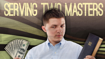# **MASTERS** SEMNG

HOD<br>BIBLE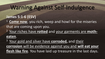#### **James 5:1-6 (ESV)**

- <sup>1</sup> Come now, you rich, weep and howl for the miseries
- that are coming upon you.
- <sup>2</sup> Your riches have **rotted** and your garments are **motheaten**.

<sup>3</sup> Your gold and silver have **corroded**, and their **corrosion** will be evidence against you and **will eat your flesh like fire**. You have laid up treasure in the last days.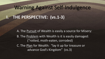### **I. THE PERSPECTIVE: (vs.1-3)**

A. The Pursuit of Wealth is easily a source for Misery: B. The Problem with Wealth is it is easily damaged: ("rotted, moth-eaten, corroded) C. The Plan for Wealth: "lay it up for treasure or advance God's Kingdom" (vs.3)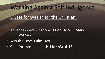### • 3 Uses for Wealth for the Christian:

- Advance God's Kingdom: **I Cor 16:2-3; Mark 12:42-44.**
- Win the Lost: **Luke 16:9**
- Care for those in need: **I John3:16-18**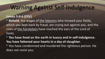#### **James 5:4-6 (ESV)**

<sup>4</sup> Behold, the wages of the laborers who mowed your fields, which you kept back by fraud, are crying out against you, and the cries of the harvesters have reached the ears of the Lord of hosts.

<sup>5</sup>**You have lived on the earth in luxury and in self-indulgence. You have fattened your hearts in a day of slaughter.**   $6$  You have condemned and murdered the righteous person. He does not resist you.